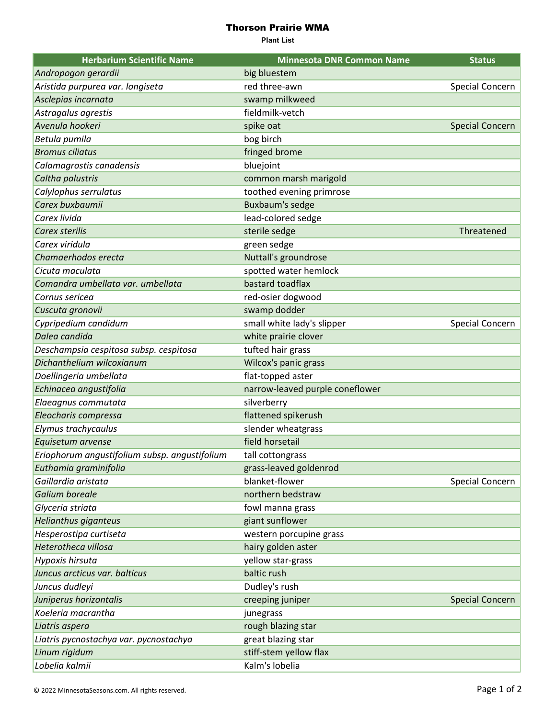## Thorson Prairie WMA

**Plant List**

| <b>Herbarium Scientific Name</b>              | <b>Minnesota DNR Common Name</b> | <b>Status</b>          |
|-----------------------------------------------|----------------------------------|------------------------|
| Andropogon gerardii                           | big bluestem                     |                        |
| Aristida purpurea var. longiseta              | red three-awn                    | Special Concern        |
| Asclepias incarnata                           | swamp milkweed                   |                        |
| Astragalus agrestis                           | fieldmilk-vetch                  |                        |
| Avenula hookeri                               | spike oat                        | <b>Special Concern</b> |
| Betula pumila                                 | bog birch                        |                        |
| <b>Bromus ciliatus</b>                        | fringed brome                    |                        |
| Calamagrostis canadensis                      | bluejoint                        |                        |
| Caltha palustris                              | common marsh marigold            |                        |
| Calylophus serrulatus                         | toothed evening primrose         |                        |
| Carex buxbaumii                               | Buxbaum's sedge                  |                        |
| Carex livida                                  | lead-colored sedge               |                        |
| Carex sterilis                                | sterile sedge                    | Threatened             |
| Carex viridula                                | green sedge                      |                        |
| Chamaerhodos erecta                           | Nuttall's groundrose             |                        |
| Cicuta maculata                               | spotted water hemlock            |                        |
| Comandra umbellata var. umbellata             | bastard toadflax                 |                        |
| Cornus sericea                                | red-osier dogwood                |                        |
| Cuscuta gronovii                              | swamp dodder                     |                        |
| Cypripedium candidum                          | small white lady's slipper       | Special Concern        |
| Dalea candida                                 | white prairie clover             |                        |
| Deschampsia cespitosa subsp. cespitosa        | tufted hair grass                |                        |
| Dichanthelium wilcoxianum                     | Wilcox's panic grass             |                        |
| Doellingeria umbellata                        | flat-topped aster                |                        |
| Echinacea angustifolia                        | narrow-leaved purple coneflower  |                        |
| Elaeagnus commutata                           | silverberry                      |                        |
| Eleocharis compressa                          | flattened spikerush              |                        |
| Elymus trachycaulus                           | slender wheatgrass               |                        |
| Equisetum arvense                             | field horsetail                  |                        |
| Eriophorum angustifolium subsp. angustifolium | tall cottongrass                 |                        |
| Euthamia graminifolia                         | grass-leaved goldenrod           |                        |
| Gaillardia aristata                           | blanket-flower                   | Special Concern        |
| Galium boreale                                | northern bedstraw                |                        |
| Glyceria striata                              | fowl manna grass                 |                        |
| Helianthus giganteus                          | giant sunflower                  |                        |
| Hesperostipa curtiseta                        | western porcupine grass          |                        |
| Heterotheca villosa                           | hairy golden aster               |                        |
| Hypoxis hirsuta                               | yellow star-grass                |                        |
| Juncus arcticus var. balticus                 | baltic rush                      |                        |
| Juncus dudleyi                                | Dudley's rush                    |                        |
| Juniperus horizontalis                        | creeping juniper                 | <b>Special Concern</b> |
| Koeleria macrantha                            | junegrass                        |                        |
| Liatris aspera                                | rough blazing star               |                        |
| Liatris pycnostachya var. pycnostachya        | great blazing star               |                        |
| Linum rigidum                                 | stiff-stem yellow flax           |                        |
| Lobelia kalmii                                | Kalm's lobelia                   |                        |